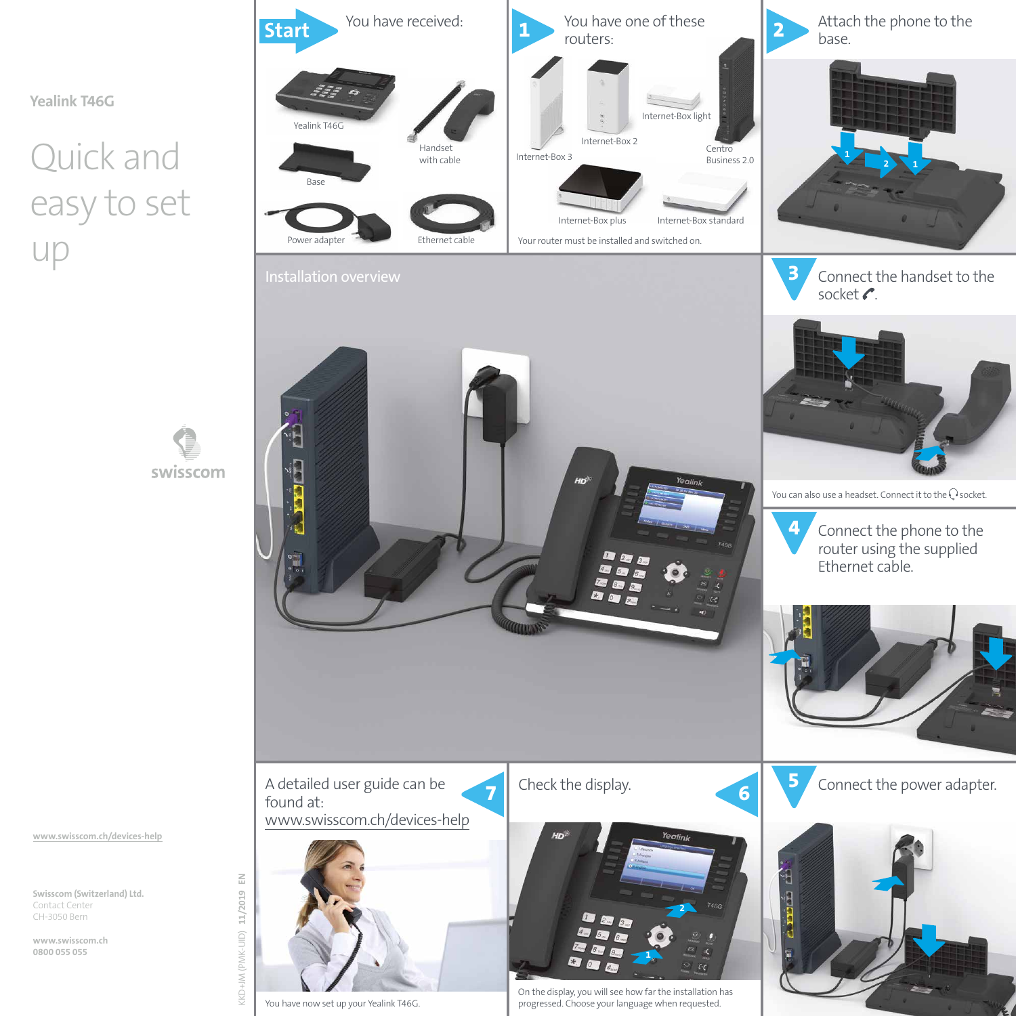**Yealink T46G**

# Quick and easy to set up





**www.swisscom.ch/devices-help**

**Swisscom (Switzerland) Ltd.** Contact Center CH-3050 Bern

**www.swisscom.ch 0800 055 055**